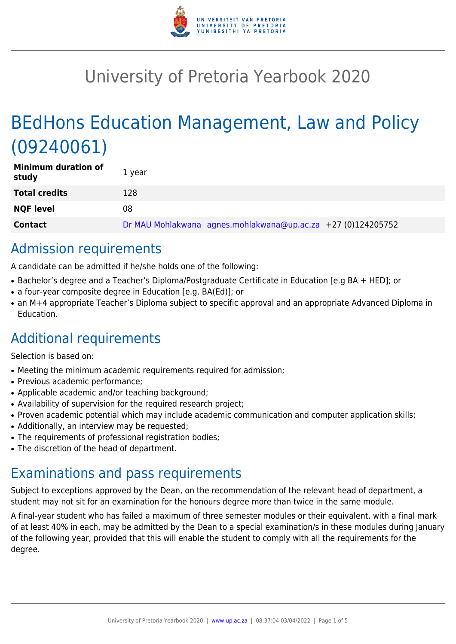

# University of Pretoria Yearbook 2020

# BEdHons Education Management, Law and Policy (09240061)

| <b>Minimum duration of</b><br>study | 1 year                                                       |
|-------------------------------------|--------------------------------------------------------------|
| <b>Total credits</b>                | 128                                                          |
| <b>NQF level</b>                    | 08                                                           |
| <b>Contact</b>                      | Dr MAU Mohlakwana agnes.mohlakwana@up.ac.za +27 (0)124205752 |

# Admission requirements

A candidate can be admitted if he/she holds one of the following:

- Bachelor's degree and a Teacher's Diploma/Postgraduate Certificate in Education [e.g BA + HED]; or
- a four-year composite degree in Education [e.g. BA(Ed)]; or
- an M+4 appropriate Teacher's Diploma subject to specific approval and an appropriate Advanced Diploma in Education.

# Additional requirements

Selection is based on:

- Meeting the minimum academic requirements required for admission;
- Previous academic performance:
- Applicable academic and/or teaching background;
- Availability of supervision for the required research project;
- Proven academic potential which may include academic communication and computer application skills;
- Additionally, an interview may be requested;
- The requirements of professional registration bodies;
- The discretion of the head of department.

## Examinations and pass requirements

Subject to exceptions approved by the Dean, on the recommendation of the relevant head of department, a student may not sit for an examination for the honours degree more than twice in the same module.

A final-year student who has failed a maximum of three semester modules or their equivalent, with a final mark of at least 40% in each, may be admitted by the Dean to a special examination/s in these modules during January of the following year, provided that this will enable the student to comply with all the requirements for the degree.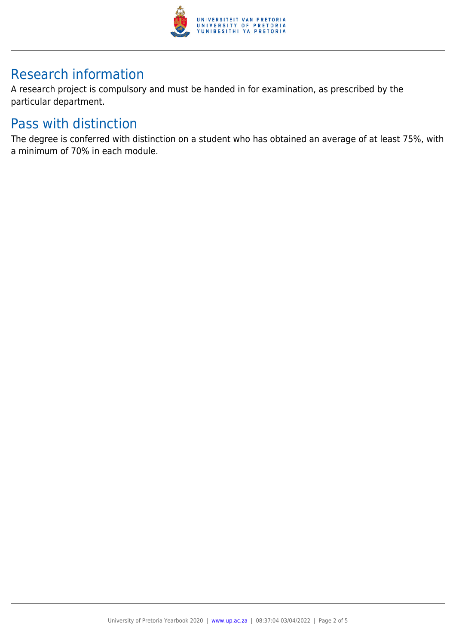

# Research information

A research project is compulsory and must be handed in for examination, as prescribed by the particular department.

### Pass with distinction

The degree is conferred with distinction on a student who has obtained an average of at least 75%, with a minimum of 70% in each module.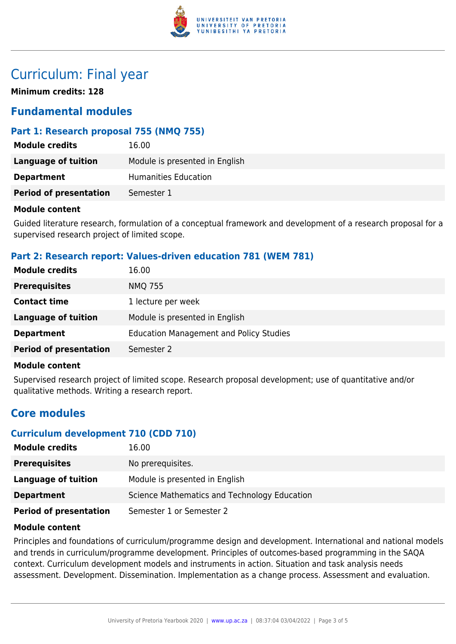

## Curriculum: Final year

**Minimum credits: 128**

### **Fundamental modules**

#### **Part 1: Research proposal 755 (NMQ 755)**

| <b>Module credits</b>         | 16.00                          |
|-------------------------------|--------------------------------|
| Language of tuition           | Module is presented in English |
| <b>Department</b>             | Humanities Education           |
| <b>Period of presentation</b> | Semester 1                     |

#### **Module content**

Guided literature research, formulation of a conceptual framework and development of a research proposal for a supervised research project of limited scope.

#### **Part 2: Research report: Values-driven education 781 (WEM 781)**

| <b>Module credits</b>         | 16.00                                          |
|-------------------------------|------------------------------------------------|
| <b>Prerequisites</b>          | <b>NMQ 755</b>                                 |
| <b>Contact time</b>           | 1 lecture per week                             |
| Language of tuition           | Module is presented in English                 |
| <b>Department</b>             | <b>Education Management and Policy Studies</b> |
| <b>Period of presentation</b> | Semester 2                                     |

#### **Module content**

Supervised research project of limited scope. Research proposal development; use of quantitative and/or qualitative methods. Writing a research report.

### **Core modules**

#### **Curriculum development 710 (CDD 710)**

| <b>Module credits</b>         | 16.00                                        |
|-------------------------------|----------------------------------------------|
| <b>Prerequisites</b>          | No prerequisites.                            |
| Language of tuition           | Module is presented in English               |
| <b>Department</b>             | Science Mathematics and Technology Education |
| <b>Period of presentation</b> | Semester 1 or Semester 2                     |

#### **Module content**

Principles and foundations of curriculum/programme design and development. International and national models and trends in curriculum/programme development. Principles of outcomes-based programming in the SAQA context. Curriculum development models and instruments in action. Situation and task analysis needs assessment. Development. Dissemination. Implementation as a change process. Assessment and evaluation.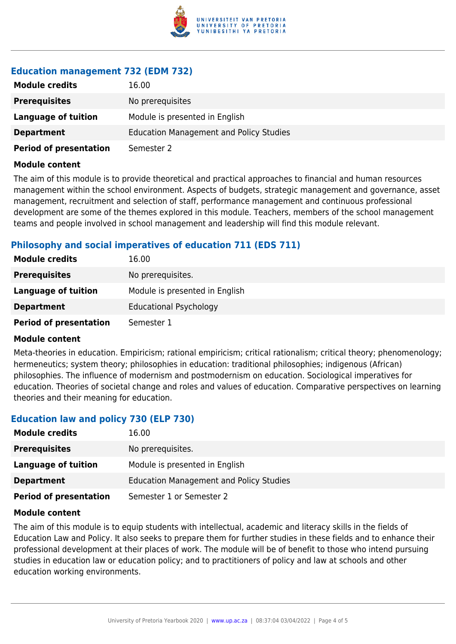

### **Education management 732 (EDM 732)**

| <b>Module credits</b>         | 16.00                                          |
|-------------------------------|------------------------------------------------|
| <b>Prerequisites</b>          | No prerequisites                               |
| Language of tuition           | Module is presented in English                 |
| <b>Department</b>             | <b>Education Management and Policy Studies</b> |
| <b>Period of presentation</b> | Semester 2                                     |

#### **Module content**

The aim of this module is to provide theoretical and practical approaches to financial and human resources management within the school environment. Aspects of budgets, strategic management and governance, asset management, recruitment and selection of staff, performance management and continuous professional development are some of the themes explored in this module. Teachers, members of the school management teams and people involved in school management and leadership will find this module relevant.

#### **Philosophy and social imperatives of education 711 (EDS 711)**

| <b>Module credits</b>         | 16.00                          |
|-------------------------------|--------------------------------|
| <b>Prerequisites</b>          | No prerequisites.              |
| <b>Language of tuition</b>    | Module is presented in English |
| <b>Department</b>             | <b>Educational Psychology</b>  |
| <b>Period of presentation</b> | Semester 1                     |

#### **Module content**

Meta-theories in education. Empiricism; rational empiricism; critical rationalism; critical theory; phenomenology; hermeneutics; system theory; philosophies in education: traditional philosophies; indigenous (African) philosophies. The influence of modernism and postmodernism on education. Sociological imperatives for education. Theories of societal change and roles and values of education. Comparative perspectives on learning theories and their meaning for education.

### **Education law and policy 730 (ELP 730)**

| <b>Module credits</b>         | 16.00                                          |
|-------------------------------|------------------------------------------------|
| <b>Prerequisites</b>          | No prerequisites.                              |
| Language of tuition           | Module is presented in English                 |
| <b>Department</b>             | <b>Education Management and Policy Studies</b> |
| <b>Period of presentation</b> | Semester 1 or Semester 2                       |

#### **Module content**

The aim of this module is to equip students with intellectual, academic and literacy skills in the fields of Education Law and Policy. It also seeks to prepare them for further studies in these fields and to enhance their professional development at their places of work. The module will be of benefit to those who intend pursuing studies in education law or education policy; and to practitioners of policy and law at schools and other education working environments.